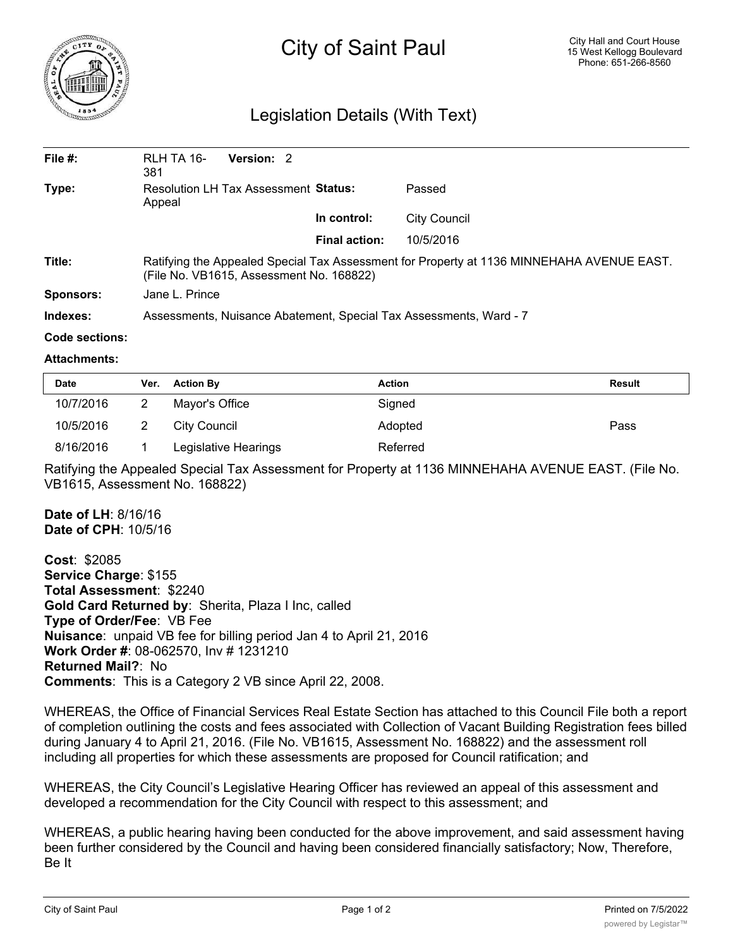

## City of Saint Paul

## Legislation Details (With Text)

| File $#$ :       | RLH TA 16-<br>381                                                                                                                     | Version: 2 |               |                     |  |  |
|------------------|---------------------------------------------------------------------------------------------------------------------------------------|------------|---------------|---------------------|--|--|
| Type:            | <b>Resolution LH Tax Assessment Status:</b><br>Appeal                                                                                 |            |               | Passed              |  |  |
|                  |                                                                                                                                       |            | In control:   | <b>City Council</b> |  |  |
|                  |                                                                                                                                       |            | Final action: | 10/5/2016           |  |  |
| Title:           | Ratifying the Appealed Special Tax Assessment for Property at 1136 MINNEHAHA AVENUE EAST.<br>(File No. VB1615, Assessment No. 168822) |            |               |                     |  |  |
| <b>Sponsors:</b> | Jane L. Prince                                                                                                                        |            |               |                     |  |  |
| Indexes:         | Assessments, Nuisance Abatement, Special Tax Assessments, Ward - 7                                                                    |            |               |                     |  |  |

## **Code sections:**

## **Attachments:**

| <b>Date</b> | Ver. Action By       | <b>Action</b> | <b>Result</b> |
|-------------|----------------------|---------------|---------------|
| 10/7/2016   | Mayor's Office       | Signed        |               |
| 10/5/2016   | City Council         | Adopted       | Pass          |
| 8/16/2016   | Legislative Hearings | Referred      |               |

Ratifying the Appealed Special Tax Assessment for Property at 1136 MINNEHAHA AVENUE EAST. (File No. VB1615, Assessment No. 168822)

**Date of LH**: 8/16/16 **Date of CPH**: 10/5/16

**Cost**: \$2085 **Service Charge**: \$155 **Total Assessment**: \$2240 **Gold Card Returned by**: Sherita, Plaza I Inc, called **Type of Order/Fee**: VB Fee **Nuisance**: unpaid VB fee for billing period Jan 4 to April 21, 2016 **Work Order #**: 08-062570, Inv # 1231210 **Returned Mail?**: No **Comments**: This is a Category 2 VB since April 22, 2008.

WHEREAS, the Office of Financial Services Real Estate Section has attached to this Council File both a report of completion outlining the costs and fees associated with Collection of Vacant Building Registration fees billed during January 4 to April 21, 2016. (File No. VB1615, Assessment No. 168822) and the assessment roll including all properties for which these assessments are proposed for Council ratification; and

WHEREAS, the City Council's Legislative Hearing Officer has reviewed an appeal of this assessment and developed a recommendation for the City Council with respect to this assessment; and

WHEREAS, a public hearing having been conducted for the above improvement, and said assessment having been further considered by the Council and having been considered financially satisfactory; Now, Therefore, Be It